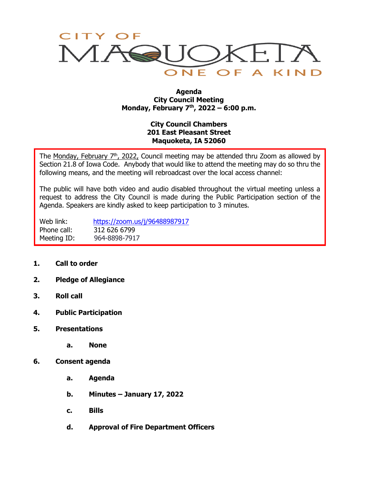

#### **Agenda City Council Meeting Monday, February 7th, 2022 – 6:00 p.m.**

# **City Council Chambers 201 East Pleasant Street Maquoketa, IA 52060**

The Monday, February  $7<sup>th</sup>$ , 2022, Council meeting may be attended thru Zoom as allowed by Section 21.8 of Iowa Code. Anybody that would like to attend the meeting may do so thru the following means, and the meeting will rebroadcast over the local access channel:

The public will have both video and audio disabled throughout the virtual meeting unless a request to address the City Council is made during the Public Participation section of the Agenda. Speakers are kindly asked to keep participation to 3 minutes.

Web link: <https://zoom.us/j/96488987917> Phone call: 312 626 6799 Meeting ID: 964-8898-7917

- **1. Call to order**
- **2. Pledge of Allegiance**
- **3. Roll call**
- **4. Public Participation**
- **5. Presentations**
	- **a. None**
- **6. Consent agenda**
	- **a. Agenda**
	- **b. Minutes – January 17, 2022**
	- **c. Bills**
	- **d. Approval of Fire Department Officers**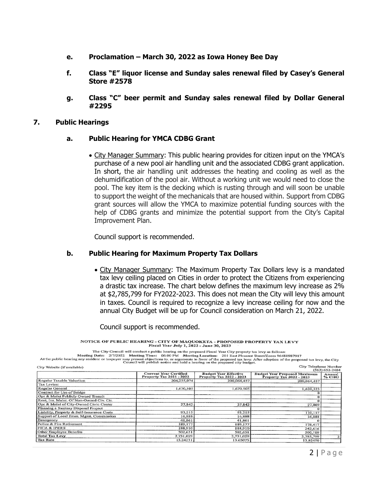- **e. Proclamation – March 30, 2022 as Iowa Honey Bee Day**
- **f. Class "E" liquor license and Sunday sales renewal filed by Casey's General Store #2578**
- **g. Class "C" beer permit and Sunday sales renewal filed by Dollar General #2295**

### **7. Public Hearings**

### **a. Public Hearing for YMCA CDBG Grant**

• City Manager Summary: This public hearing provides for citizen input on the YMCA's purchase of a new pool air handling unit and the associated CDBG grant application. In short, the air handling unit addresses the heating and cooling as well as the dehumidification of the pool air. Without a working unit we would need to close the pool. The key item is the decking which is rusting through and will soon be unable to support the weight of the mechanicals that are housed within. Support from CDBG grant sources will allow the YMCA to maximize potential funding sources with the help of CDBG grants and minimize the potential support from the City's Capital Improvement Plan.

Council support is recommended.

### **b. Public Hearing for Maximum Property Tax Dollars**

• City Manager Summary: The Maximum Property Tax Dollars levy is a mandated tax levy ceiling placed on Cities in order to protect the Citizens from experiencing a drastic tax increase. The chart below defines the maximum levy increase as 2% at \$2,785,799 for FY2022-2023. This does not mean the City will levy this amount in taxes. Council is required to recognize a levy increase ceiling for now and the annual City Budget will be up for Council consideration on March 21, 2022.

Council support is recommended.

NOTICE OF PUBLIC HEARING - CITY OF MAQUOKETA - PROPOSED PROPERTY TAX LEVY Fiscal Year July 1, 2022 - June 30, 2023

The City Council will conduct a public hearing on the proposed Fiscal Year City property tax levy as follows:

Meeting Date: 2/7/2022 Meeting Time: 06:00 PM Meeting Location: 201 East Pleasant Street/Zoom 96488987917<br>At the public hearing any resident or taxpayer may present objections to, or arguments in favor of the proposed tax

| City Website (if available)                | City Telephone Number                                            |                                                                 |                                                                 |                    |
|--------------------------------------------|------------------------------------------------------------------|-----------------------------------------------------------------|-----------------------------------------------------------------|--------------------|
|                                            |                                                                  |                                                                 |                                                                 | $(563) 652 - 2484$ |
|                                            | <b>Current Year Certified</b><br><b>Property Tax 2021 - 2022</b> | <b>Budget Year Effective</b><br><b>Property Tax 2022 - 2023</b> | <b>Budget Year Proposed Maximum</b><br>Property Tax 2022 - 2023 | Annual<br>% CHG    |
| Regular Taxable Valuation                  | 206,235,074                                                      | 200,064,457                                                     | 200,064,457                                                     |                    |
| Tax Levies:                                |                                                                  |                                                                 |                                                                 |                    |
| Regular General                            | 1,670,505                                                        | 1,670,505                                                       | 1,620,523                                                       |                    |
| Contract for Use of Bridge                 |                                                                  |                                                                 |                                                                 |                    |
| Opr & Maint Publicly Owned Transit         |                                                                  |                                                                 |                                                                 |                    |
| Rent, Ins. Maint. Of Non-Owned Civ. Ctr.   |                                                                  |                                                                 |                                                                 |                    |
| Opr & Maint of City-Owned Civic Center     | 27,842                                                           | 27,842                                                          | 27,009                                                          |                    |
| Planning a Sanitary Disposal Project       |                                                                  |                                                                 |                                                                 |                    |
| Liability, Property & Self-Insurance Costs | 93,215                                                           | 93,215                                                          | 110,157                                                         |                    |
| Support of Local Emer, Mgmt, Commission    | 16.888                                                           | 16,888                                                          | 16,888                                                          |                    |
| Emergency                                  | 41,861                                                           | 41,861                                                          |                                                                 |                    |
| Police & Fire Retirement                   | 189,177                                                          | 189,177                                                         | 178,417                                                         |                    |
| <b>FICA &amp; IPERS</b>                    | 188,910                                                          | 188,910                                                         | 242,616                                                         |                    |
| Other Employee Benefits                    | 502,631                                                          | 502,631                                                         | 590,189                                                         |                    |
| <b>Total Tax Levy</b>                      | 2,731,029                                                        | 2,731,029                                                       | 2,785,799                                                       |                    |
| <b>Tax Rate</b>                            | 13.24231                                                         | 13.65075                                                        | 13.92450                                                        |                    |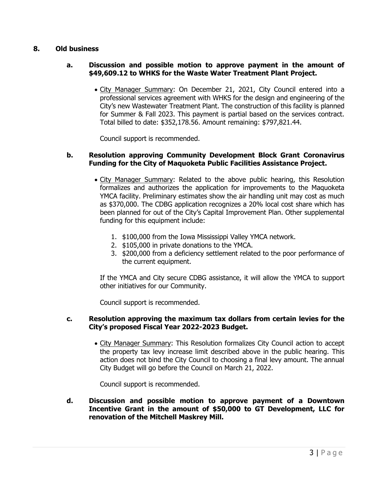# **8. Old business**

# **a. Discussion and possible motion to approve payment in the amount of \$49,609.12 to WHKS for the Waste Water Treatment Plant Project.**

• City Manager Summary: On December 21, 2021, City Council entered into a professional services agreement with WHKS for the design and engineering of the City's new Wastewater Treatment Plant. The construction of this facility is planned for Summer & Fall 2023. This payment is partial based on the services contract. Total billed to date: \$352,178.56. Amount remaining: \$797,821.44.

Council support is recommended.

# **b. Resolution approving Community Development Block Grant Coronavirus Funding for the City of Maquoketa Public Facilities Assistance Project.**

- City Manager Summary: Related to the above public hearing, this Resolution formalizes and authorizes the application for improvements to the Maquoketa YMCA facility. Preliminary estimates show the air handling unit may cost as much as \$370,000. The CDBG application recognizes a 20% local cost share which has been planned for out of the City's Capital Improvement Plan. Other supplemental funding for this equipment include:
	- 1. \$100,000 from the Iowa Mississippi Valley YMCA network.
	- 2. \$105,000 in private donations to the YMCA.
	- 3. \$200,000 from a deficiency settlement related to the poor performance of the current equipment.

If the YMCA and City secure CDBG assistance, it will allow the YMCA to support other initiatives for our Community.

Council support is recommended.

# **c. Resolution approving the maximum tax dollars from certain levies for the City's proposed Fiscal Year 2022-2023 Budget.**

• City Manager Summary: This Resolution formalizes City Council action to accept the property tax levy increase limit described above in the public hearing. This action does not bind the City Council to choosing a final levy amount. The annual City Budget will go before the Council on March 21, 2022.

Council support is recommended.

**d. Discussion and possible motion to approve payment of a Downtown Incentive Grant in the amount of \$50,000 to GT Development, LLC for renovation of the Mitchell Maskrey Mill.**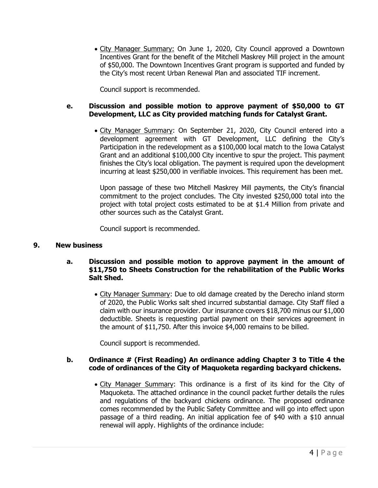• City Manager Summary: On June 1, 2020, City Council approved a Downtown Incentives Grant for the benefit of the Mitchell Maskrey Mill project in the amount of \$50,000. The Downtown Incentives Grant program is supported and funded by the City's most recent Urban Renewal Plan and associated TIF increment.

Council support is recommended.

# **e. Discussion and possible motion to approve payment of \$50,000 to GT Development, LLC as City provided matching funds for Catalyst Grant.**

• City Manager Summary: On September 21, 2020, City Council entered into a development agreement with GT Development, LLC defining the City's Participation in the redevelopment as a \$100,000 local match to the Iowa Catalyst Grant and an additional \$100,000 City incentive to spur the project. This payment finishes the City's local obligation. The payment is required upon the development incurring at least \$250,000 in verifiable invoices. This requirement has been met.

Upon passage of these two Mitchell Maskrey Mill payments, the City's financial commitment to the project concludes. The City invested \$250,000 total into the project with total project costs estimated to be at \$1.4 Million from private and other sources such as the Catalyst Grant.

Council support is recommended.

### **9. New business**

# **a. Discussion and possible motion to approve payment in the amount of \$11,750 to Sheets Construction for the rehabilitation of the Public Works Salt Shed.**

• City Manager Summary: Due to old damage created by the Derecho inland storm of 2020, the Public Works salt shed incurred substantial damage. City Staff filed a claim with our insurance provider. Our insurance covers \$18,700 minus our \$1,000 deductible. Sheets is requesting partial payment on their services agreement in the amount of \$11,750. After this invoice \$4,000 remains to be billed.

Council support is recommended.

### **b. Ordinance # (First Reading) An ordinance adding Chapter 3 to Title 4 the code of ordinances of the City of Maquoketa regarding backyard chickens.**

• City Manager Summary: This ordinance is a first of its kind for the City of Maquoketa. The attached ordinance in the council packet further details the rules and regulations of the backyard chickens ordinance. The proposed ordinance comes recommended by the Public Safety Committee and will go into effect upon passage of a third reading. An initial application fee of \$40 with a \$10 annual renewal will apply. Highlights of the ordinance include: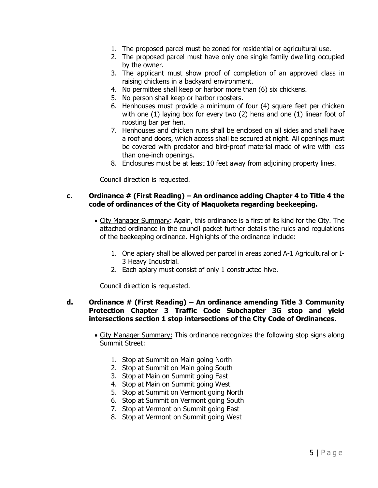- 1. The proposed parcel must be zoned for residential or agricultural use.
- 2. The proposed parcel must have only one single family dwelling occupied by the owner.
- 3. The applicant must show proof of completion of an approved class in raising chickens in a backyard environment.
- 4. No permittee shall keep or harbor more than (6) six chickens.
- 5. No person shall keep or harbor roosters.
- 6. Henhouses must provide a minimum of four (4) square feet per chicken with one (1) laying box for every two (2) hens and one (1) linear foot of roosting bar per hen.
- 7. Henhouses and chicken runs shall be enclosed on all sides and shall have a roof and doors, which access shall be secured at night. All openings must be covered with predator and bird-proof material made of wire with less than one-inch openings.
- 8. Enclosures must be at least 10 feet away from adjoining property lines.

Council direction is requested.

### **c. Ordinance # (First Reading) – An ordinance adding Chapter 4 to Title 4 the code of ordinances of the City of Maquoketa regarding beekeeping.**

- City Manager Summary: Again, this ordinance is a first of its kind for the City. The attached ordinance in the council packet further details the rules and regulations of the beekeeping ordinance. Highlights of the ordinance include:
	- 1. One apiary shall be allowed per parcel in areas zoned A-1 Agricultural or I-3 Heavy Industrial.
	- 2. Each apiary must consist of only 1 constructed hive.

Council direction is requested.

### **d. Ordinance # (First Reading) – An ordinance amending Title 3 Community Protection Chapter 3 Traffic Code Subchapter 3G stop and yield intersections section 1 stop intersections of the City Code of Ordinances.**

- City Manager Summary: This ordinance recognizes the following stop signs along Summit Street:
	- 1. Stop at Summit on Main going North
	- 2. Stop at Summit on Main going South
	- 3. Stop at Main on Summit going East
	- 4. Stop at Main on Summit going West
	- 5. Stop at Summit on Vermont going North
	- 6. Stop at Summit on Vermont going South
	- 7. Stop at Vermont on Summit going East
	- 8. Stop at Vermont on Summit going West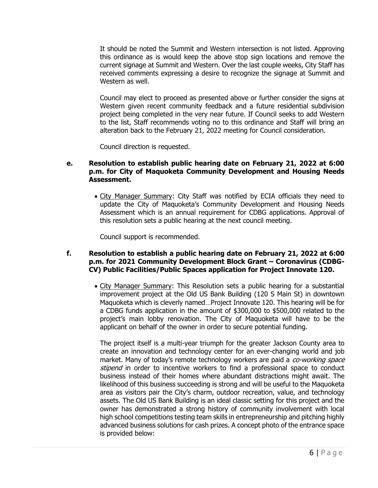It should be noted the Summit and Western intersection is not listed. Approving this ordinance as is would keep the above stop sign locations and remove the current signage at Summit and Western. Over the last couple weeks, City Staff has received comments expressing a desire to recognize the signage at Summit and Western as well.

Council may elect to proceed as presented above or further consider the signs at Western given recent community feedback and a future residential subdivision project being completed in the very near future. If Council seeks to add Western to the list, Staff recommends voting no to this ordinance and Staff will bring an alteration back to the February 21, 2022 meeting for Council consideration.

Council direction is requested.

# **e. Resolution to establish public hearing date on February 21, 2022 at 6:00 p.m. for City of Maquoketa Community Development and Housing Needs Assessment.**

• City Manager Summary: City Staff was notified by ECIA officials they need to update the City of Maquoketa's Community Development and Housing Needs Assessment which is an annual requirement for CDBG applications. Approval of this resolution sets a public hearing at the next council meeting.

Council support is recommended.

# **f. Resolution to establish a public hearing date on February 21, 2022 at 6:00 p.m. for 2021 Community Development Block Grant – Coronavirus (CDBG-CV) Public Facilities/Public Spaces application for Project Innovate 120.**

• City Manager Summary: This Resolution sets a public hearing for a substantial improvement project at the Old US Bank Building (120 S Main St) in downtown Maquoketa which is cleverly named…Project Innovate 120. This hearing will be for a CDBG funds application in the amount of \$300,000 to \$500,000 related to the project's main lobby renovation. The City of Maquoketa will have to be the applicant on behalf of the owner in order to secure potential funding.

The project itself is a multi-year triumph for the greater Jackson County area to create an innovation and technology center for an ever-changing world and job market. Many of today's remote technology workers are paid a *co-working space* stipend in order to incentive workers to find a professional space to conduct business instead of their homes where abundant distractions might await. The likelihood of this business succeeding is strong and will be useful to the Maquoketa area as visitors pair the City's charm, outdoor recreation, value, and technology assets. The Old US Bank Building is an ideal classic setting for this project and the owner has demonstrated a strong history of community involvement with local high school competitions testing team skills in entrepreneurship and pitching highly advanced business solutions for cash prizes. A concept photo of the entrance space is provided below: